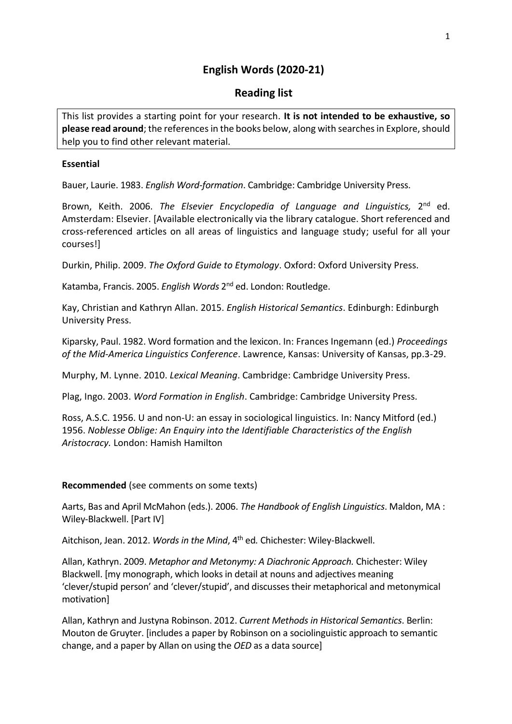# **English Words (2020-21)**

## **Reading list**

This list provides a starting point for your research. **It is not intended to be exhaustive, so please read around**; the references in the books below, along with searches in Explore, should help you to find other relevant material.

### **Essential**

Bauer, Laurie. 1983. *English Word-formation*. Cambridge: Cambridge University Press.

Brown, Keith. 2006. The Elsevier Encyclopedia of Language and Linguistics, 2<sup>nd</sup> ed. Amsterdam: Elsevier. [Available electronically via the library catalogue. Short referenced and cross-referenced articles on all areas of linguistics and language study; useful for all your courses!]

Durkin, Philip. 2009. *The Oxford Guide to Etymology*. Oxford: Oxford University Press.

Katamba, Francis. 2005. English Words 2<sup>nd</sup> ed. London: Routledge.

Kay, Christian and Kathryn Allan. 2015. *English Historical Semantics*. Edinburgh: Edinburgh University Press.

Kiparsky, Paul. 1982. Word formation and the lexicon. In: Frances Ingemann (ed.) *Proceedings of the Mid-America Linguistics Conference*. Lawrence, Kansas: University of Kansas, pp.3-29.

Murphy, M. Lynne. 2010. *Lexical Meaning*. Cambridge: Cambridge University Press.

Plag, Ingo. 2003. *Word Formation in English*. Cambridge: Cambridge University Press.

Ross, A.S.C. 1956. U and non-U: an essay in sociological linguistics. In: Nancy Mitford (ed.) 1956. *Noblesse Oblige: An Enquiry into the Identifiable Characteristics of the English Aristocracy.* London: Hamish Hamilton

## **Recommended** (see comments on some texts)

Aarts, Bas and April McMahon (eds.). 2006. *The Handbook of English Linguistics*. Maldon, MA : Wiley-Blackwell. [Part IV]

Aitchison, Jean. 2012. *Words in the Mind*, 4th ed*.* Chichester: Wiley-Blackwell.

Allan, Kathryn. 2009. *Metaphor and Metonymy: A Diachronic Approach.* Chichester: Wiley Blackwell. [my monograph, which looks in detail at nouns and adjectives meaning 'clever/stupid person' and 'clever/stupid', and discusses their metaphorical and metonymical motivation]

Allan, Kathryn and Justyna Robinson. 2012. *Current Methods in Historical Semantics*. Berlin: Mouton de Gruyter. [includes a paper by Robinson on a sociolinguistic approach to semantic change, and a paper by Allan on using the *OED* as a data source]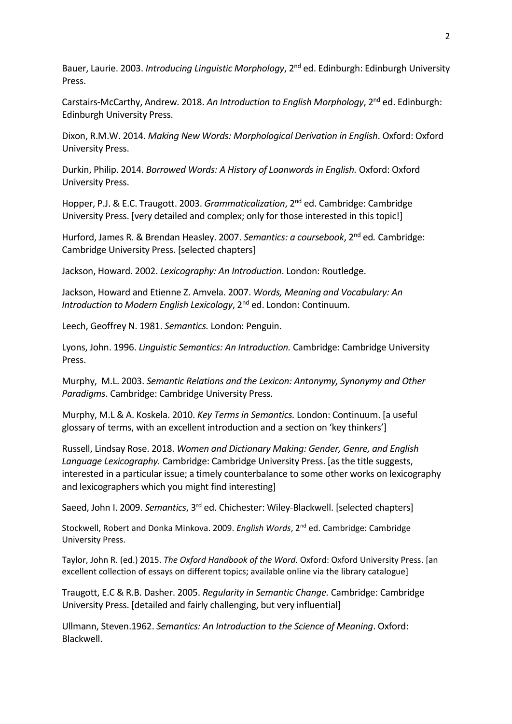Bauer, Laurie. 2003. *Introducing Linguistic Morphology*, 2<sup>nd</sup> ed. Edinburgh: Edinburgh University Press.

Carstairs-McCarthy, Andrew. 2018. *An Introduction to English Morphology*, 2nd ed. Edinburgh: Edinburgh University Press.

Dixon, R.M.W. 2014. *Making New Words: Morphological Derivation in English*. Oxford: Oxford University Press.

Durkin, Philip. 2014. *Borrowed Words: A History of Loanwords in English.* Oxford: Oxford University Press.

Hopper, P.J. & E.C. Traugott. 2003. *Grammaticalization*, 2nd ed. Cambridge: Cambridge University Press. [very detailed and complex; only for those interested in this topic!]

Hurford, James R. & Brendan Heasley. 2007. *Semantics: a coursebook*, 2nd ed*.* Cambridge: Cambridge University Press. [selected chapters]

Jackson, Howard. 2002. *Lexicography: An Introduction*. London: Routledge.

Jackson, Howard and Etienne Z. Amvela. 2007. *Words, Meaning and Vocabulary: An Introduction to Modern English Lexicology*, 2<sup>nd</sup> ed. London: Continuum.

Leech, Geoffrey N. 1981. *Semantics.* London: Penguin.

Lyons, John. 1996. *Linguistic Semantics: An Introduction.* Cambridge: Cambridge University Press.

Murphy, M.L. 2003. *Semantic Relations and the Lexicon: Antonymy, Synonymy and Other Paradigms*. Cambridge: Cambridge University Press.

Murphy, M.L & A. Koskela. 2010. *Key Terms in Semantics.* London: Continuum. [a useful glossary of terms, with an excellent introduction and a section on 'key thinkers']

Russell, Lindsay Rose. 2018. *Women and Dictionary Making: Gender, Genre, and English Language Lexicography.* Cambridge: Cambridge University Press. [as the title suggests, interested in a particular issue; a timely counterbalance to some other works on lexicography and lexicographers which you might find interesting]

Saeed, John I. 2009. *Semantics*, 3rd ed. Chichester: Wiley-Blackwell. [selected chapters]

Stockwell, Robert and Donka Minkova. 2009. *English Words*, 2nd ed. Cambridge: Cambridge University Press.

Taylor, John R. (ed.) 2015. *The Oxford Handbook of the Word.* Oxford: Oxford University Press. [an excellent collection of essays on different topics; available online via the library catalogue]

Traugott, E.C & R.B. Dasher. 2005. *Regularity in Semantic Change.* Cambridge: Cambridge University Press. [detailed and fairly challenging, but very influential]

Ullmann, Steven.1962. *Semantics: An Introduction to the Science of Meaning*. Oxford: Blackwell.